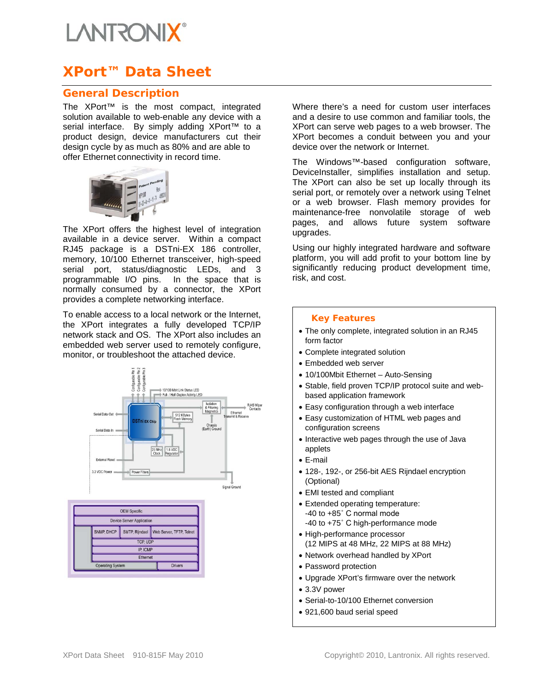# **LANTRONIX**

# **XPort™ Data Sheet**

## **General Description**

The XPort™ is the most compact, integrated solution available to web-enable any device with a serial interface. By simply adding XPort™ to a product design, device manufacturers cut their design cycle by as much as 80% and are able to offer Ethernet connectivity in record time.



The XPort offers the highest level of integration available in a device server. Within a compact RJ45 package is a DSTni-EX 186 controller, memory, 10/100 Ethernet transceiver, high-speed serial port, status/diagnostic LEDs, and 3 programmable I/O pins. In the space that is normally consumed by a connector, the XPort provides a complete networking interface.

To enable access to a local network or the Internet, the XPort integrates a fully developed TCP/IP network stack and OS. The XPort also includes an embedded web server used to remotely configure, monitor, or troubleshoot the attached device.



Where there's a need for custom user interfaces and a desire to use common and familiar tools, the XPort can serve web pages to a web browser. The XPort becomes a conduit between you and your device over the network or Internet.

The Windows™-based configuration software, DeviceInstaller, simplifies installation and setup. The XPort can also be set up locally through its serial port, or remotely over a network using Telnet or a web browser. Flash memory provides for maintenance-free nonvolatile storage of web pages, and allows future system software upgrades.

Using our highly integrated hardware and software platform, you will add profit to your bottom line by significantly reducing product development time, risk, and cost.

#### *Key Features*

- The only complete, integrated solution in an RJ45 form factor
- Complete integrated solution
- Embedded web server
- 10/100Mbit Ethernet Auto-Sensing
- Stable, field proven TCP/IP protocol suite and webbased application framework
- Easy configuration through a web interface
- Easy customization of HTML web pages and configuration screens
- Interactive web pages through the use of Java applets
- E-mail
- 128-, 192-, or 256-bit AES Rijndael encryption (Optional)
- EMI tested and compliant
- Extended operating temperature: -40 to +85˚ C normal mode -40 to +75˚ C high-performance mode
- High-performance processor (12 MIPS at 48 MHz, 22 MIPS at 88 MHz)
- Network overhead handled by XPort
- Password protection
- Upgrade XPort's firmware over the network
- 3.3V power
- Serial-to-10/100 Ethernet conversion
- 921,600 baud serial speed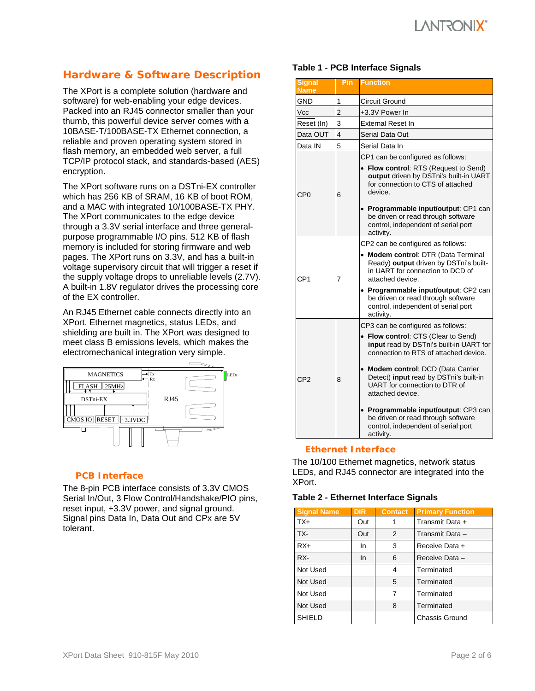# I ANTRONI**X**

## **Hardware & Software Description**

The XPort is a complete solution (hardware and software) for web-enabling your edge devices. Packed into an RJ45 connector smaller than your thumb, this powerful device server comes with a 10BASE-T/100BASE-TX Ethernet connection, a reliable and proven operating system stored in flash memory, an embedded web server, a full TCP/IP protocol stack, and standards-based (AES) encryption.

The XPort software runs on a DSTni-EX controller which has 256 KB of SRAM, 16 KB of boot ROM, and a MAC with integrated 10/100BASE-TX PHY. The XPort communicates to the edge device through a 3.3V serial interface and three generalpurpose programmable I/O pins. 512 KB of flash memory is included for storing firmware and web pages. The XPort runs on 3.3V, and has a built-in voltage supervisory circuit that will trigger a reset if the supply voltage drops to unreliable levels (2.7V). A built-in 1.8V regulator drives the processing core of the EX controller.

An RJ45 Ethernet cable connects directly into an XPort. Ethernet magnetics, status LEDs, and shielding are built in. The XPort was designed to meet class B emissions levels, which makes the electromechanical integration very simple.



#### *PCB Interface*

The 8-pin PCB interface consists of 3.3V CMOS Serial In/Out, 3 Flow Control/Handshake/PIO pins, reset input, +3.3V power, and signal ground. Signal pins Data In, Data Out and CPx are 5V tolerant.

### **Table 1 - PCB Interface Signals**

| <b>Signal</b><br><b>Name</b> | Pin.                    | <b>Function</b>                                                                                                                                                                                                                                                                                                                                                                                                                     |  |  |
|------------------------------|-------------------------|-------------------------------------------------------------------------------------------------------------------------------------------------------------------------------------------------------------------------------------------------------------------------------------------------------------------------------------------------------------------------------------------------------------------------------------|--|--|
| GND                          | 1                       | Circuit Ground                                                                                                                                                                                                                                                                                                                                                                                                                      |  |  |
| Vcc                          | $\overline{2}$          | +3.3V Power In                                                                                                                                                                                                                                                                                                                                                                                                                      |  |  |
| Reset (In)                   | 3                       | <b>External Reset In</b>                                                                                                                                                                                                                                                                                                                                                                                                            |  |  |
| Data OUT                     | $\overline{\mathbf{4}}$ | Serial Data Out                                                                                                                                                                                                                                                                                                                                                                                                                     |  |  |
| Data IN                      | 5                       | Serial Data In                                                                                                                                                                                                                                                                                                                                                                                                                      |  |  |
| CP <sub>0</sub>              | 6                       | CP1 can be configured as follows:<br>• Flow control: RTS (Request to Send)<br>output driven by DSTni's built-in UART<br>for connection to CTS of attached<br>device.                                                                                                                                                                                                                                                                |  |  |
|                              |                         | · Programmable input/output: CP1 can<br>be driven or read through software<br>control, independent of serial port<br>activity.                                                                                                                                                                                                                                                                                                      |  |  |
| CP <sub>1</sub>              | 7                       | CP2 can be configured as follows:<br>• Modem control: DTR (Data Terminal<br>Ready) output driven by DSTni's built-<br>in UART for connection to DCD of<br>attached device.<br>• Programmable input/output: CP2 can<br>be driven or read through software<br>control, independent of serial port<br>activity.                                                                                                                        |  |  |
| CP <sub>2</sub>              | 8                       | CP3 can be configured as follows:<br>• Flow control: CTS (Clear to Send)<br>input read by DSTni's built-in UART for<br>connection to RTS of attached device.<br>• Modem control: DCD (Data Carrier<br>Detect) input read by DSTni's built-in<br>UART for connection to DTR of<br>attached device.<br>· Programmable input/output: CP3 can<br>be driven or read through software<br>control, independent of serial port<br>activity. |  |  |

#### *Ethernet Interface*

The 10/100 Ethernet magnetics, network status LEDs, and RJ45 connector are integrated into the XPort.

#### **Table 2 - Ethernet Interface Signals**

| <b>Signal Name</b> | <b>DIR</b> | <b>Contact</b> | <b>Primary Function</b> |
|--------------------|------------|----------------|-------------------------|
| $TX+$              | Out        | 1              | Transmit Data +         |
| TX-                | Out        | 2              | Transmit Data -         |
| $RX+$              | In         | 3              | Receive Data +          |
| RX-                | In.        | 6              | Receive Data -          |
| Not Used           |            | 4              | Terminated              |
| Not Used           |            | 5              | Terminated              |
| Not Used           |            | 7              | Terminated              |
| Not Used           |            | 8              | Terminated              |
| <b>SHIELD</b>      |            |                | <b>Chassis Ground</b>   |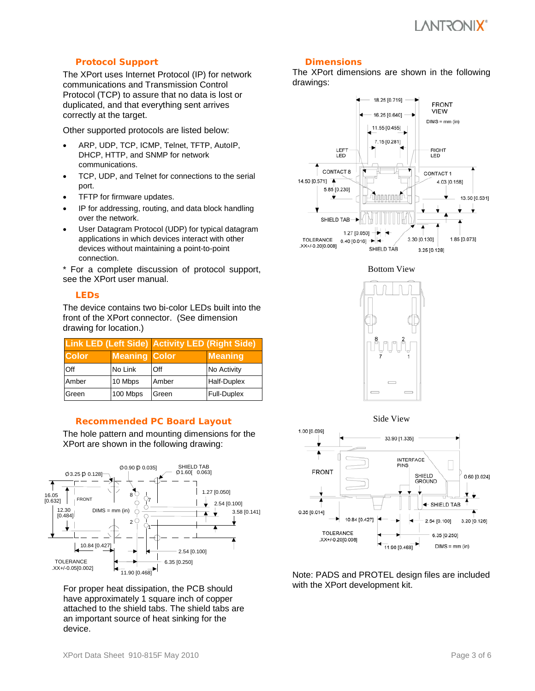# VULSOVII**X**.

#### *Protocol Support*

The XPort uses Internet Protocol (IP) for network communications and Transmission Control Protocol (TCP) to assure that no data is lost or duplicated, and that everything sent arrives correctly at the target.

Other supported protocols are listed below:

- ARP, UDP, TCP, ICMP, Telnet, TFTP, AutoIP, DHCP, HTTP, and SNMP for network communications.
- TCP, UDP, and Telnet for connections to the serial port.
- TFTP for firmware updates.
- IP for addressing, routing, and data block handling over the network.
- User Datagram Protocol (UDP) for typical datagram applications in which devices interact with other devices without maintaining a point-to-point connection.

\* For a complete discussion of protocol support, see the XPort user manual.

#### *LEDs*

The device contains two bi-color LEDs built into the front of the XPort connector. (See dimension drawing for location.)

|              |                      | <b>Link LED (Left Side) Activity LED (Right Side)</b> |                    |  |
|--------------|----------------------|-------------------------------------------------------|--------------------|--|
| <b>Color</b> | <b>Meaning Color</b> |                                                       | <b>Meaning</b>     |  |
| Off          | No Link              | Off                                                   | No Activity        |  |
| Amber        | 10 Mbps              | Amber                                                 | <b>Half-Duplex</b> |  |
| Green        | 100 Mbps             | Green                                                 | <b>Full-Duplex</b> |  |

#### *Recommended PC Board Layout*

The hole pattern and mounting dimensions for the XPort are shown in the following drawing:



For proper heat dissipation, the PCB should have approximately 1 square inch of copper attached to the shield tabs. The shield tabs are an important source of heat sinking for the device.

#### *Dimensions*

The XPort dimensions are shown in the following drawings:



Bottom View







Note: PADS and PROTEL design files are included with the XPort development kit.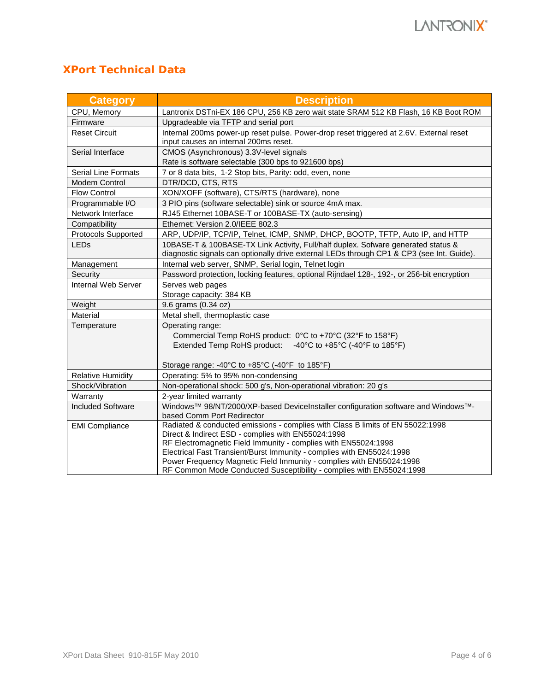# **XPort Technical Data**

| <b>Category</b>            | <b>Description</b>                                                                                                                            |  |  |  |
|----------------------------|-----------------------------------------------------------------------------------------------------------------------------------------------|--|--|--|
| CPU, Memory                | Lantronix DSTni-EX 186 CPU, 256 KB zero wait state SRAM 512 KB Flash, 16 KB Boot ROM                                                          |  |  |  |
| Firmware                   | Upgradeable via TFTP and serial port                                                                                                          |  |  |  |
| <b>Reset Circuit</b>       | Internal 200ms power-up reset pulse. Power-drop reset triggered at 2.6V. External reset                                                       |  |  |  |
|                            | input causes an internal 200ms reset.                                                                                                         |  |  |  |
| Serial Interface           | CMOS (Asynchronous) 3.3V-level signals                                                                                                        |  |  |  |
|                            | Rate is software selectable (300 bps to 921600 bps)                                                                                           |  |  |  |
| <b>Serial Line Formats</b> | 7 or 8 data bits, 1-2 Stop bits, Parity: odd, even, none                                                                                      |  |  |  |
| <b>Modem Control</b>       | DTR/DCD, CTS, RTS                                                                                                                             |  |  |  |
| <b>Flow Control</b>        | XON/XOFF (software), CTS/RTS (hardware), none                                                                                                 |  |  |  |
| Programmable I/O           | 3 PIO pins (software selectable) sink or source 4mA max.                                                                                      |  |  |  |
| Network Interface          | RJ45 Ethernet 10BASE-T or 100BASE-TX (auto-sensing)                                                                                           |  |  |  |
| Compatibility              | Ethernet: Version 2.0/IEEE 802.3                                                                                                              |  |  |  |
| <b>Protocols Supported</b> | ARP, UDP/IP, TCP/IP, Telnet, ICMP, SNMP, DHCP, BOOTP, TFTP, Auto IP, and HTTP                                                                 |  |  |  |
| <b>LEDs</b>                | 10BASE-T & 100BASE-TX Link Activity, Full/half duplex. Sofware generated status &                                                             |  |  |  |
|                            | diagnostic signals can optionally drive external LEDs through CP1 & CP3 (see Int. Guide).                                                     |  |  |  |
| Management                 | Internal web server, SNMP, Serial login, Telnet login                                                                                         |  |  |  |
| Security                   | Password protection, locking features, optional Rijndael 128-, 192-, or 256-bit encryption                                                    |  |  |  |
| Internal Web Server        | Serves web pages                                                                                                                              |  |  |  |
|                            | Storage capacity: 384 KB                                                                                                                      |  |  |  |
| Weight                     | 9.6 grams (0.34 oz)                                                                                                                           |  |  |  |
| Material                   | Metal shell, thermoplastic case                                                                                                               |  |  |  |
| Temperature                | Operating range:                                                                                                                              |  |  |  |
|                            | Commercial Temp RoHS product: 0°C to +70°C (32°F to 158°F)                                                                                    |  |  |  |
|                            | Extended Temp RoHS product:<br>-40°C to +85°C (-40°F to 185°F)                                                                                |  |  |  |
|                            |                                                                                                                                               |  |  |  |
|                            | Storage range: -40°C to +85°C (-40°F to 185°F)                                                                                                |  |  |  |
| <b>Relative Humidity</b>   | Operating: 5% to 95% non-condensing                                                                                                           |  |  |  |
| Shock/Vibration            | Non-operational shock: 500 g's, Non-operational vibration: 20 g's                                                                             |  |  |  |
| Warranty                   | 2-year limited warranty                                                                                                                       |  |  |  |
| <b>Included Software</b>   | Windows™ 98/NT/2000/XP-based DeviceInstaller configuration software and Windows™-                                                             |  |  |  |
|                            | based Comm Port Redirector                                                                                                                    |  |  |  |
| <b>EMI Compliance</b>      | Radiated & conducted emissions - complies with Class B limits of EN 55022:1998                                                                |  |  |  |
|                            | Direct & Indirect ESD - complies with EN55024:1998                                                                                            |  |  |  |
|                            | RF Electromagnetic Field Immunity - complies with EN55024:1998                                                                                |  |  |  |
|                            | Electrical Fast Transient/Burst Immunity - complies with EN55024:1998<br>Power Frequency Magnetic Field Immunity - complies with EN55024:1998 |  |  |  |
|                            | RF Common Mode Conducted Susceptibility - complies with EN55024:1998                                                                          |  |  |  |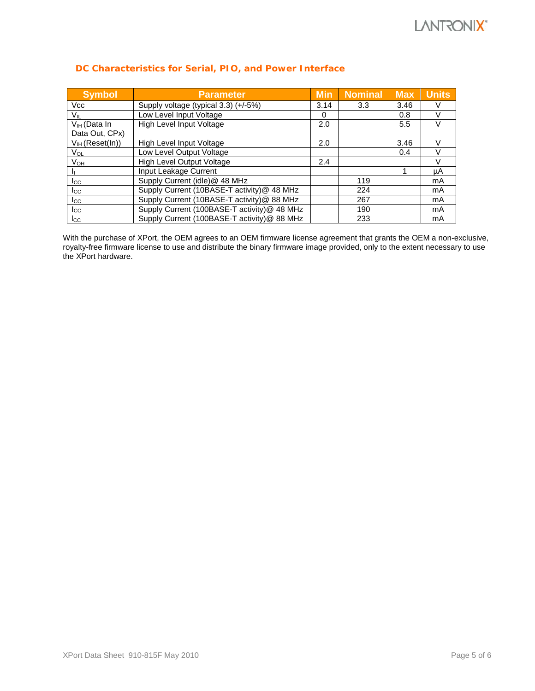| <b>Symbol</b>        | <b>Parameter</b>                            | <b>Min</b> | <b>Nominal</b> | <b>Max</b> | <b>Units</b> |
|----------------------|---------------------------------------------|------------|----------------|------------|--------------|
| <b>Vcc</b>           | Supply voltage (typical 3.3) (+/-5%)        | 3.14       | 3.3            | 3.46       |              |
| $V_{IL}$             | Low Level Input Voltage                     | 0          |                | 0.8        |              |
| $V_{IH}$ (Data In    | High Level Input Voltage                    | 2.0        |                | 5.5        |              |
| Data Out, CPx)       |                                             |            |                |            |              |
| $V_{IH}$ (Reset(In)) | High Level Input Voltage                    | 2.0        |                | 3.46       |              |
| VOL                  | Low Level Output Voltage                    |            |                | 0.4        |              |
| V <sub>OH</sub>      | High Level Output Voltage                   | 2.4        |                |            | V            |
| -li                  | Input Leakage Current                       |            |                |            | μA           |
| $_{\rm lcc}$         | Supply Current (idle)@ 48 MHz               |            | 119            |            | mA           |
| $_{\rm lcc}$         | Supply Current (10BASE-T activity)@ 48 MHz  |            | 224            |            | mA           |
| Icc                  | Supply Current (10BASE-T activity)@ 88 MHz  |            | 267            |            | mA           |
| $_{\rm lcc}$         | Supply Current (100BASE-T activity)@ 48 MHz |            | 190            |            | mA           |
| $_{\rm lcc}$         | Supply Current (100BASE-T activity)@ 88 MHz |            | 233            |            | mA           |

#### *DC Characteristics for Serial, PIO, and Power Interface*

With the purchase of XPort, the OEM agrees to an OEM firmware license agreement that grants the OEM a non-exclusive, royalty-free firmware license to use and distribute the binary firmware image provided, only to the extent necessary to use the XPort hardware.